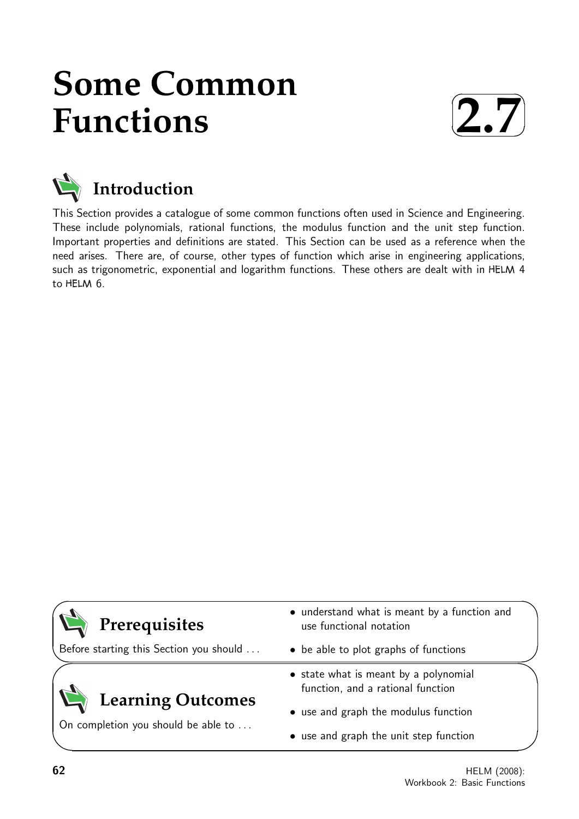# **Some Common Functions**





This Section provides a catalogue of some common functions often used in Science and Engineering. These include polynomials, rational functions, the modulus function and the unit step function. Important properties and definitions are stated. This Section can be used as a reference when the need arises. There are, of course, other types of function which arise in engineering applications, such as trigonometric, exponential and logarithm functions. These others are dealt with in HELM 4 to HELM 6.



Before starting this Section you should . . .

# **Learning Outcomes**

On completion you should be able to ...

- understand what is meant by a function and use functional notation
- be able to plot graphs of functions
- state what is meant by a polynomial function, and a rational function
- use and graph the modulus function
- use and graph the unit step function

 $\overline{\phantom{0}}$ 

 $\searrow$ 

 $\ge$ 

 $\overline{\phantom{0}}$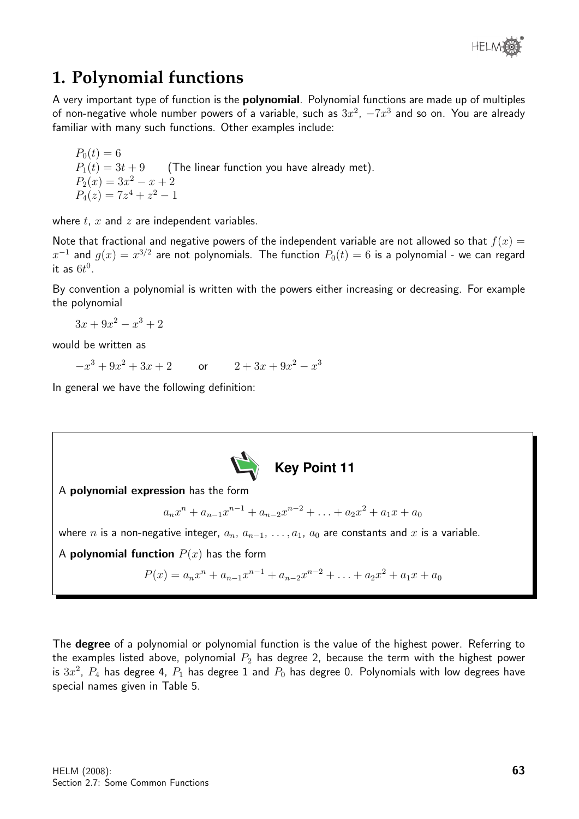

# **1. Polynomial functions**

A very important type of function is the **polynomial**. Polynomial functions are made up of multiples of non-negative whole number powers of a variable, such as  $3x^2,\ -7x^3$  and so on. You are already familiar with many such functions. Other examples include:

 $P_0(t) = 6$  $P_1(t) = 3t + 9$  (The linear function you have already met).  $P_2(x) = 3x^2 - x + 2$  $P_4(z) = 7z^4 + z^2 - 1$ 

where  $t$ ,  $x$  and  $z$  are independent variables.

Note that fractional and negative powers of the independent variable are not allowed so that  $f(x) =$  $x^{-1}$  and  $g(x)=x^{3/2}$  are not polynomials. The function  $P_0(t)=6$  is a polynomial - we can regard it as  $6t^0$ .

By convention a polynomial is written with the powers either increasing or decreasing. For example the polynomial

 $3x + 9x^2 - x^3 + 2$ 

would be written as

 $-x^3+9x$  $x^2 + 3x + 2$  or  $2 + 3x + 9x^2 - x^3$ 

In general we have the following definition:



The **degree** of a polynomial or polynomial function is the value of the highest power. Referring to the examples listed above, polynomial  $P_2$  has degree 2, because the term with the highest power is  $3x^2,\;P_4$  has degree 4,  $P_1$  has degree  $1$  and  $P_0$  has degree 0. Polynomials with low degrees have special names given in Table 5.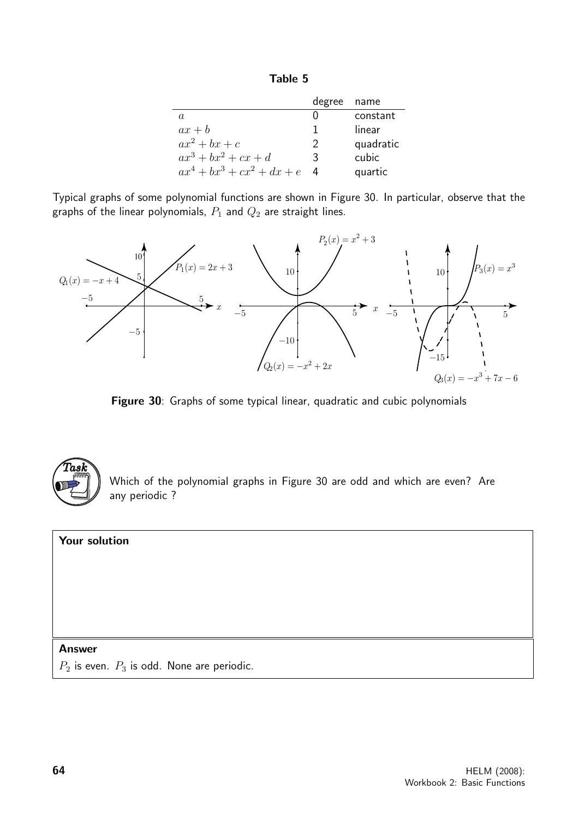| āble |  |
|------|--|
|------|--|

|                               | degree name   |           |
|-------------------------------|---------------|-----------|
| a.                            |               | constant  |
| $ax + b$                      |               | linear    |
| $ax^2 + bx + c$               | $\mathcal{P}$ | quadratic |
| $ax^3+bx^2+cx+d$              | 3             | cubic     |
| $ax^4 + bx^3 + cx^2 + dx + e$ |               | quartic   |

Typical graphs of some polynomial functions are shown in Figure 30. In particular, observe that the graphs of the linear polynomials,  $P_1$  and  $Q_2$  are straight lines.



Figure 30: Graphs of some typical linear, quadratic and cubic polynomials



Which of the polynomial graphs in Figure 30 are odd and which are even? Are any periodic ?

#### Your solution

#### Answer

 $P_2$  is even.  $P_3$  is odd. None are periodic.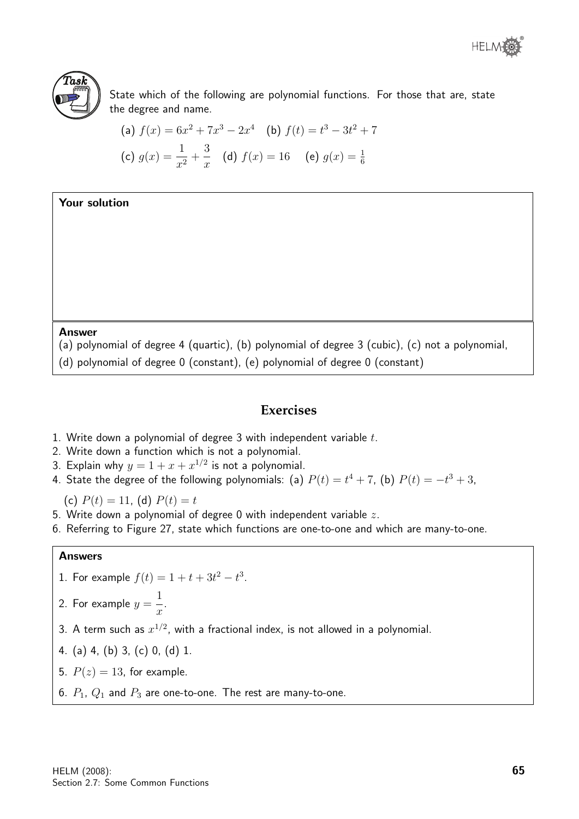



State which of the following are polynomial functions. For those that are, state the degree and name.

(a) 
$$
f(x) = 6x^2 + 7x^3 - 2x^4
$$
 (b)  $f(t) = t^3 - 3t^2 + 7$   
(c)  $g(x) = \frac{1}{x^2} + \frac{3}{x}$  (d)  $f(x) = 16$  (e)  $g(x) = \frac{1}{6}$ 

Your solution

Answer

(a) polynomial of degree 4 (quartic), (b) polynomial of degree 3 (cubic), (c) not a polynomial,

(d) polynomial of degree 0 (constant), (e) polynomial of degree 0 (constant)

#### **Exercises**

- 1. Write down a polynomial of degree 3 with independent variable  $t$ .
- 2. Write down a function which is not a polynomial.
- 3. Explain why  $y = 1 + x + x^{1/2}$  is not a polynomial.
- 4. State the degree of the following polynomials: (a)  $P(t) = t^4 + 7$ , (b)  $P(t) = -t^3 + 3$ ,

(c)  $P(t) = 11$ , (d)  $P(t) = t$ 

- 5. Write down a polynomial of degree 0 with independent variable  $z$ .
- 6. Referring to Figure 27, state which functions are one-to-one and which are many-to-one.

#### Answers

- 1. For example  $f(t) = 1 + t + 3t^2 t^3$ .
- 2. For example  $y =$ 1 .
- $\overline{x}$ 3. A term such as  $x^{1/2}$ , with a fractional index, is not allowed in a polynomial.
- 4. (a) 4, (b) 3, (c) 0, (d) 1.
- 5.  $P(z) = 13$ , for example.
- 6.  $P_1$ ,  $Q_1$  and  $P_3$  are one-to-one. The rest are many-to-one.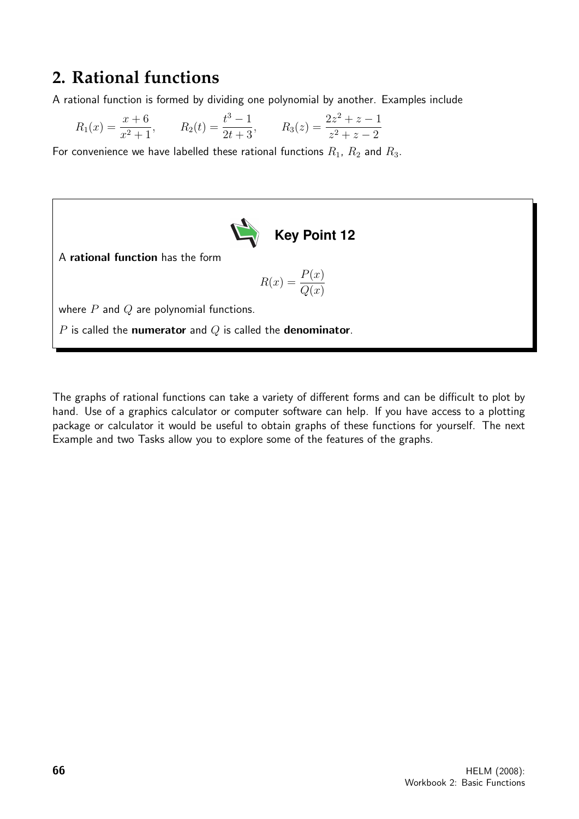# **2. Rational functions**

A rational function is formed by dividing one polynomial by another. Examples include

$$
R_1(x) = \frac{x+6}{x^2+1}
$$
,  $R_2(t) = \frac{t^3-1}{2t+3}$ ,  $R_3(z) = \frac{2z^2+z-1}{z^2+z-2}$ 

For convenience we have labelled these rational functions  $R_1$ ,  $R_2$  and  $R_3$ .



A rational function has the form

$$
R(x) = \frac{P(x)}{Q(x)}
$$

where  $P$  and  $Q$  are polynomial functions.

 $P$  is called the numerator and  $Q$  is called the denominator.

The graphs of rational functions can take a variety of different forms and can be difficult to plot by hand. Use of a graphics calculator or computer software can help. If you have access to a plotting package or calculator it would be useful to obtain graphs of these functions for yourself. The next Example and two Tasks allow you to explore some of the features of the graphs.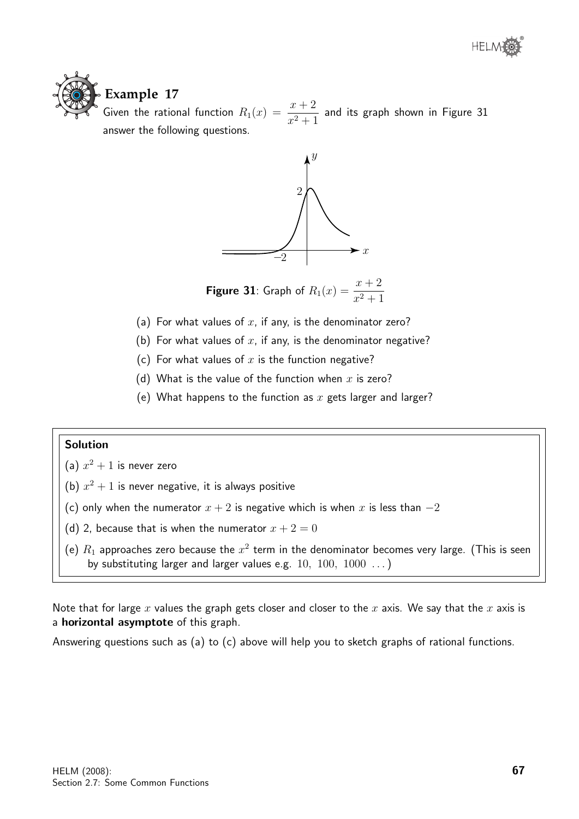

# **Example 17**

Given the rational function  $R_1(x) = \frac{x+2}{x^2+1}$  and its graph shown in Figure 31 answer the following questions.



**Figure 31**: Graph of  $R_1(x) = \frac{x+2}{x^2+1}$ 

- (a) For what values of  $x$ , if any, is the denominator zero?
- (b) For what values of  $x$ , if any, is the denominator negative?
- (c) For what values of  $x$  is the function negative?
- (d) What is the value of the function when  $x$  is zero?
- (e) What happens to the function as  $x$  gets larger and larger?

#### Solution

- (a)  $x^2 + 1$  is never zero
- (b)  $x^2 + 1$  is never negative, it is always positive
- (c) only when the numerator  $x + 2$  is negative which is when x is less than  $-2$
- (d) 2, because that is when the numerator  $x + 2 = 0$
- (e)  $R_1$  approaches zero because the  $x^2$  term in the denominator becomes very large. (This is seen by substituting larger and larger values e.g.  $10, 100, 1000 \ldots$ )

Note that for large x values the graph gets closer and closer to the x axis. We say that the x axis is a horizontal asymptote of this graph.

Answering questions such as (a) to (c) above will help you to sketch graphs of rational functions.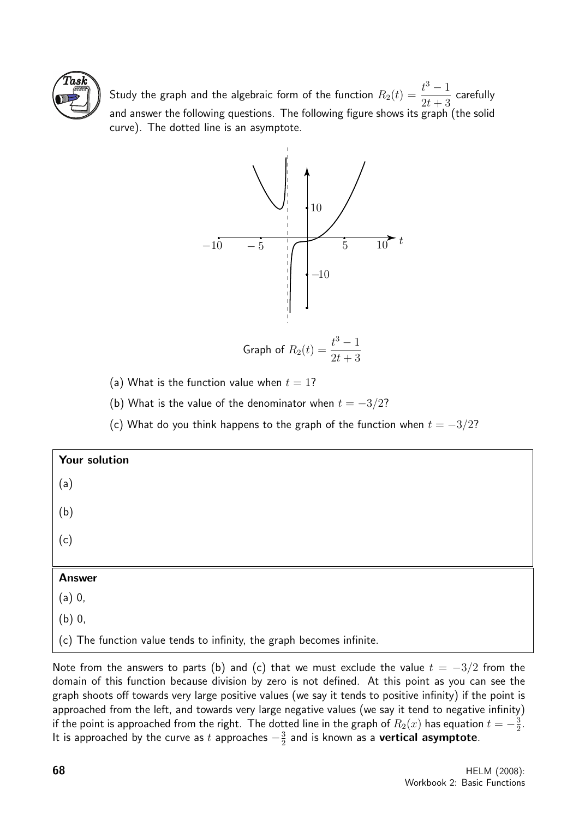

Study the graph and the algebraic form of the function  $R_2(t)=\dfrac{t^3-1}{2t+2}$  $2t + 3$ carefully and answer the following questions. The following figure shows its graph (the solid curve). The dotted line is an asymptote.



Graph of 
$$
R_2(t) = \frac{t^3 - 1}{2t + 3}
$$

(a) What is the function value when  $t = 1$ ?

(b) What is the value of the denominator when  $t = -3/2$ ?

(c) What do you think happens to the graph of the function when  $t = -3/2$ ?

| Your solution |  |
|---------------|--|
| (a)           |  |
| (b)           |  |
| (c)           |  |
|               |  |
| <b>Answer</b> |  |
| $(a)$ 0,      |  |
| $(b)$ 0,      |  |

(c) The function value tends to infinity, the graph becomes infinite.

Note from the answers to parts (b) and (c) that we must exclude the value  $t = -3/2$  from the domain of this function because division by zero is not defined. At this point as you can see the graph shoots off towards very large positive values (we say it tends to positive infinity) if the point is approached from the left, and towards very large negative values (we say it tend to negative infinity) if the point is approached from the right. The dotted line in the graph of  $R_2(x)$  has equation  $t=-\frac{3}{2}$  $\frac{3}{2}$ . It is approached by the curve as t approaches  $-\frac{3}{2}$  $\frac{3}{2}$  and is known as a **vertical asymptote**.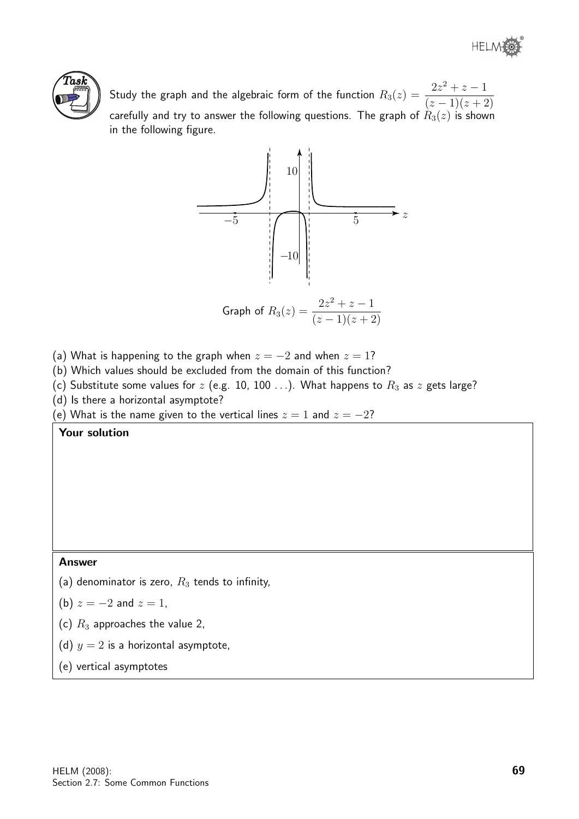® **HELM** 



Study the graph and the algebraic form of the function  $R_3(z) = \frac{2z^2 + z - 1}{(z-1)(z-1)}$  $(z-1)(z+2)$ carefully and try to answer the following questions. The graph of  $R_3(z)$  is shown in the following figure.



(a) What is happening to the graph when 
$$
z = -2
$$
 and when  $z = 1$ ?

- (b) Which values should be excluded from the domain of this function?
- (c) Substitute some values for  $z$  (e.g. 10, 100 ...). What happens to  $R_3$  as  $z$  gets large?
- (d) Is there a horizontal asymptote?

(e) What is the name given to the vertical lines  $z = 1$  and  $z = -2$ ?

Your solution

#### Answer

- (a) denominator is zero,  $R_3$  tends to infinity,
- (b)  $z = -2$  and  $z = 1$ ,
- (c)  $R_3$  approaches the value 2,
- (d)  $y = 2$  is a horizontal asymptote,
- (e) vertical asymptotes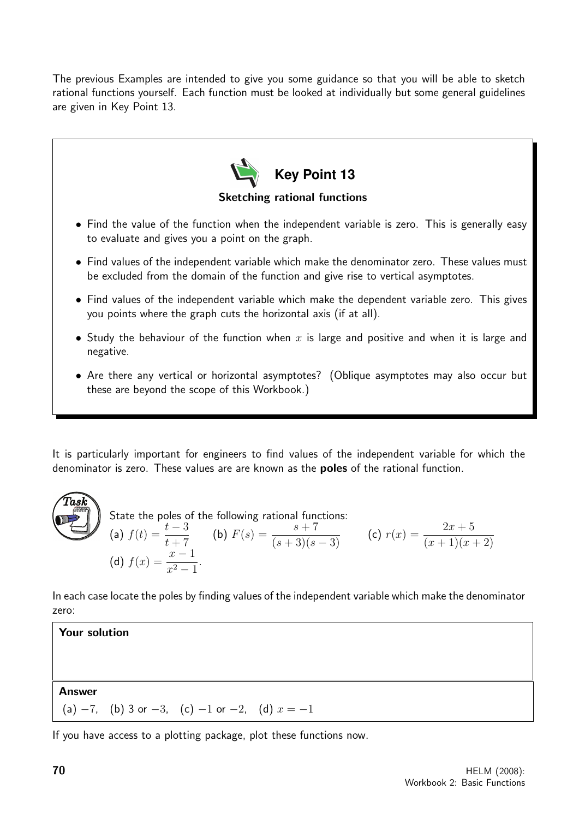The previous Examples are intended to give you some guidance so that you will be able to sketch rational functions yourself. Each function must be looked at individually but some general guidelines are given in Key Point 13.



It is particularly important for engineers to find values of the independent variable for which the denominator is zero. These values are are known as the **poles** of the rational function.



State the poles of the following rational functions: (a)  $f(t) = \frac{t-3}{1+t^2}$  $t+7$ (b)  $F(s) = \frac{s+7}{(s+3)(s-3)}$  (c)  $r(x) = \frac{2x+5}{(x+1)(x+2)}$ (d)  $f(x) = \frac{x-1}{2}$  $\frac{x}{x^2-1}$ .

In each case locate the poles by finding values of the independent variable which make the denominator zero:

Your solution Answer (a)  $-7$ , (b) 3 or  $-3$ , (c)  $-1$  or  $-2$ , (d)  $x = -1$ 

If you have access to a plotting package, plot these functions now.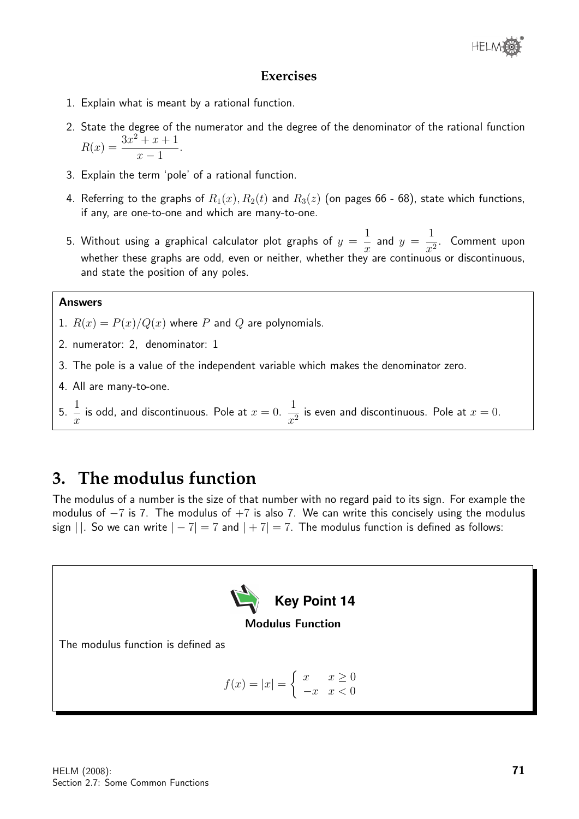

#### **Exercises**

- 1. Explain what is meant by a rational function.
- 2. State the degree of the numerator and the degree of the denominator of the rational function  $R(x) = \frac{3x^2 + x + 1}{1}$  $x - 1$ .
- 3. Explain the term 'pole' of a rational function.
- 4. Referring to the graphs of  $R_1(x)$ ,  $R_2(t)$  and  $R_3(z)$  (on pages 66 68), state which functions, if any, are one-to-one and which are many-to-one.
- 5. Without using a graphical calculator plot graphs of  $y =$ 1  $\overline{x}$ and  $y =$ 1  $\frac{1}{x^2}$ . Comment upon whether these graphs are odd, even or neither, whether they are continuous or discontinuous, and state the position of any poles.

#### Answers

- 1.  $R(x) = P(x)/Q(x)$  where P and Q are polynomials.
- 2. numerator: 2, denominator: 1
- 3. The pole is a value of the independent variable which makes the denominator zero.
- 4. All are many-to-one.
- 5. 1  $\boldsymbol{x}$ is odd, and discontinuous. Pole at  $x = 0$ . 1  $\frac{1}{x^2}$  is even and discontinuous. Pole at  $x = 0$ .

### **3. The modulus function**

The modulus of a number is the size of that number with no regard paid to its sign. For example the modulus of  $-7$  is 7. The modulus of  $+7$  is also 7. We can write this concisely using the modulus sign  $||.$  So we can write  $|-7| = 7$  and  $|+7| = 7$ . The modulus function is defined as follows:

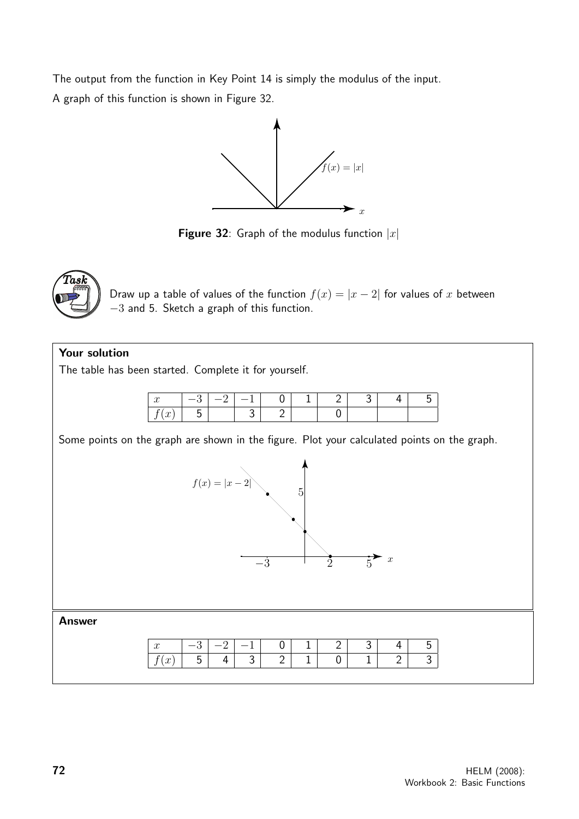The output from the function in Key Point 14 is simply the modulus of the input. A graph of this function is shown in Figure 32.



**Figure 32:** Graph of the modulus function  $|x|$ 



Draw up a table of values of the function  $f(x) = |x - 2|$  for values of x between −3 and 5. Sketch a graph of this function.

#### Your solution

The table has been started. Complete it for yourself.



Some points on the graph are shown in the figure. Plot your calculated points on the graph.

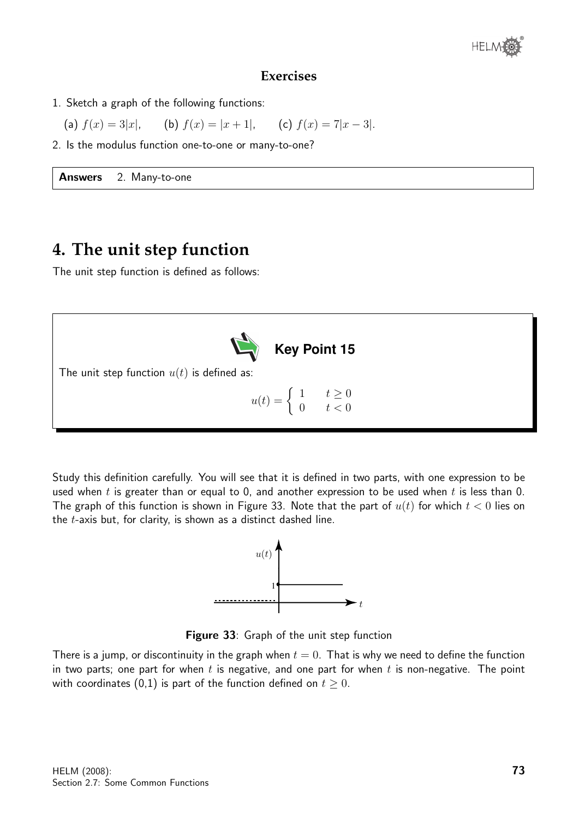

#### **Exercises**

1. Sketch a graph of the following functions:

(a) 
$$
f(x) = 3|x|
$$
, (b)  $f(x) = |x + 1|$ , (c)  $f(x) = 7|x - 3|$ .

2. Is the modulus function one-to-one or many-to-one?

Answers 2. Many-to-one

# **4. The unit step function**

The unit step function is defined as follows:



Study this definition carefully. You will see that it is defined in two parts, with one expression to be used when t is greater than or equal to 0, and another expression to be used when t is less than 0. The graph of this function is shown in Figure 33. Note that the part of  $u(t)$  for which  $t < 0$  lies on the t-axis but, for clarity, is shown as a distinct dashed line.



Figure 33: Graph of the unit step function

There is a jump, or discontinuity in the graph when  $t = 0$ . That is why we need to define the function in two parts; one part for when t is negative, and one part for when  $t$  is non-negative. The point with coordinates (0,1) is part of the function defined on  $t \geq 0$ .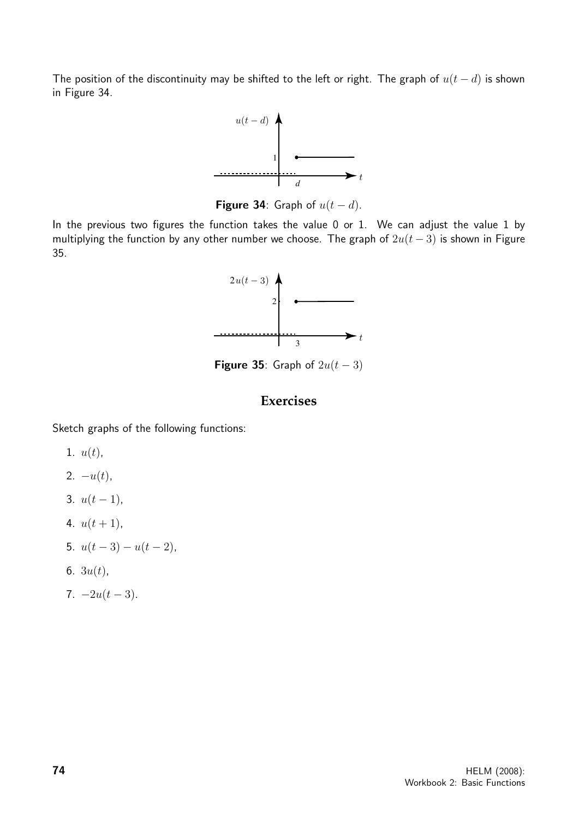The position of the discontinuity may be shifted to the left or right. The graph of  $u(t - d)$  is shown in Figure 34.



Figure 34: Graph of  $u(t - d)$ .

In the previous two figures the function takes the value 0 or 1. We can adjust the value 1 by multiplying the function by any other number we choose. The graph of  $2u(t-3)$  is shown in Figure 35.



Figure 35: Graph of  $2u(t-3)$ 

#### **Exercises**

Sketch graphs of the following functions:

- 1.  $u(t)$ ,
- 2.  $-u(t)$ ,
- 3.  $u(t-1)$ ,
- 4.  $u(t+1)$ ,
- 5.  $u(t-3) u(t-2)$ ,
- 6.  $3u(t)$ ,
- 7.  $-2u(t-3)$ .